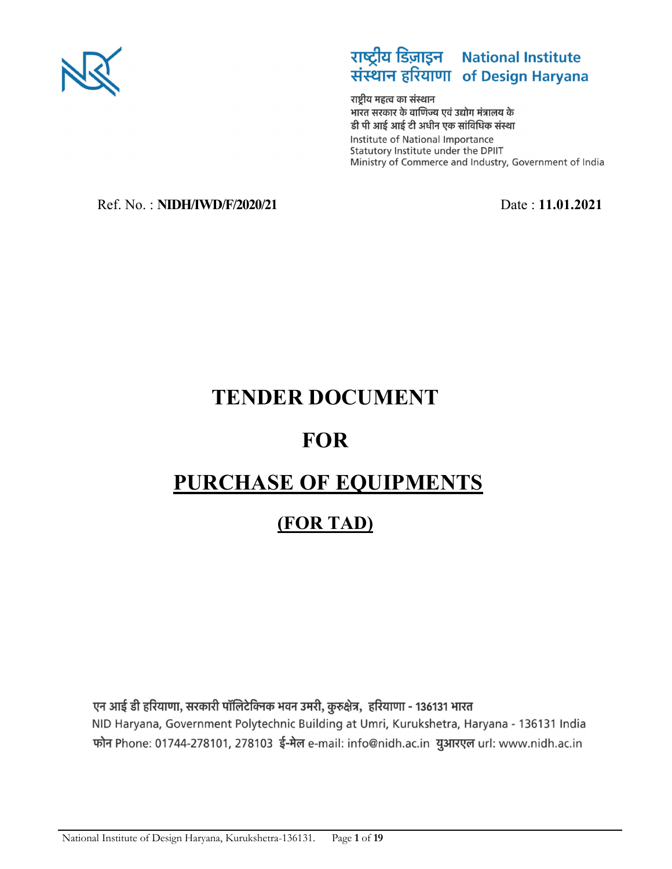

# राष्ट्रीय डिज़ाइन National Institute<br>संस्थान हरियाणा of Design Haryana

राष्ट्रीय महत्व का संस्थान भारत सरकार के वाणिज्य एवं उद्योग मंत्रालय के डी पी आई आई टी अधीन एक सांविधिक संस्था Institute of National Importance Statutory Institute under the DPIIT Ministry of Commerce and Industry, Government of India

# Ref. No. : **NIDH/IWD/F/2020/21** Date : **11.01.2021**

# **TENDER DOCUMENT**

# **FOR**

# **PURCHASE OF EQUIPMENTS**

# **(FOR TAD)**

एन आई डी हरियाणा, सरकारी पॉलिटेक्निक भवन उमरी, कुरुक्षेत्र, हरियाणा - 136131 भारत NID Haryana, Government Polytechnic Building at Umri, Kurukshetra, Haryana - 136131 India फोन Phone: 01744-278101, 278103 ई-मेल e-mail: info@nidh.ac.in युआरएल url: www.nidh.ac.in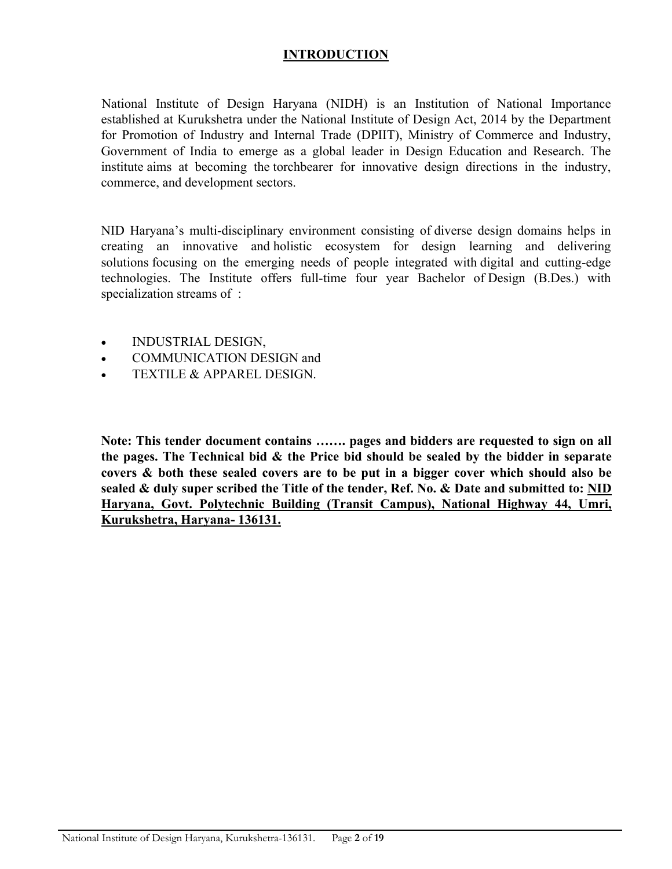#### **INTRODUCTION**

National Institute of Design Haryana (NIDH) is an Institution of National Importance established at Kurukshetra under the National Institute of Design Act, 2014 by the Department for Promotion of Industry and Internal Trade (DPIIT), Ministry of Commerce and Industry, Government of India to emerge as a global leader in Design Education and Research. The institute aims at becoming the torchbearer for innovative design directions in the industry, commerce, and development sectors.

NID Haryana's multi-disciplinary environment consisting of diverse design domains helps in creating an innovative and holistic ecosystem for design learning and delivering solutions focusing on the emerging needs of people integrated with digital and cutting-edge technologies. The Institute offers full-time four year Bachelor of Design (B.Des.) with specialization streams of :

- INDUSTRIAL DESIGN,
- COMMUNICATION DESIGN and
- TEXTILE & APPAREL DESIGN.

**Note: This tender document contains ……. pages and bidders are requested to sign on all the pages. The Technical bid & the Price bid should be sealed by the bidder in separate covers & both these sealed covers are to be put in a bigger cover which should also be sealed & duly super scribed the Title of the tender, Ref. No. & Date and submitted to: NID Haryana, Govt. Polytechnic Building (Transit Campus), National Highway 44, Umri, Kurukshetra, Haryana- 136131.**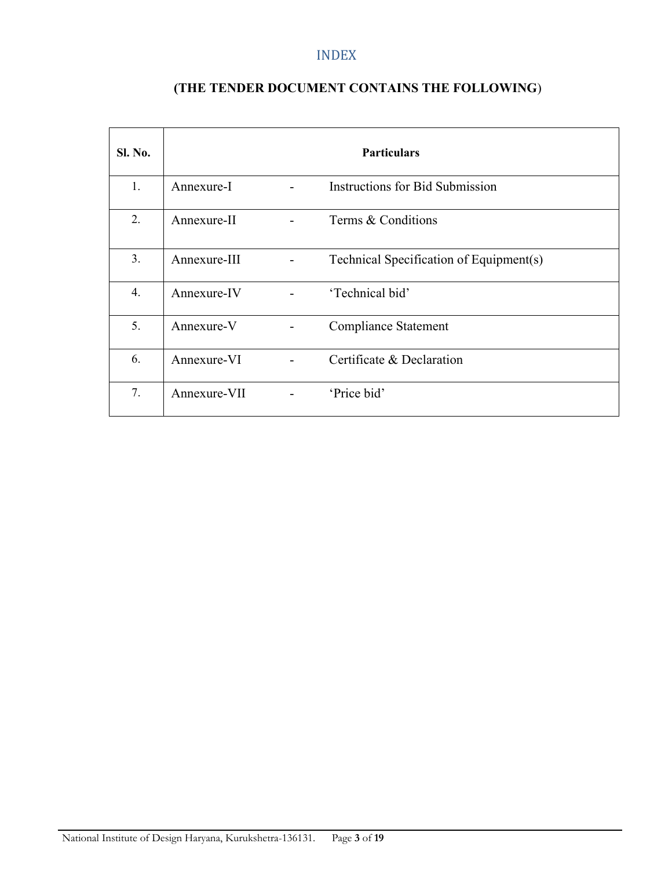## INDEX

# **(THE TENDER DOCUMENT CONTAINS THE FOLLOWING**)

| <b>Sl. No.</b> | <b>Particulars</b> |                |                                         |  |  |
|----------------|--------------------|----------------|-----------------------------------------|--|--|
| 1.             | Annexure-I         |                | Instructions for Bid Submission         |  |  |
| 2.             | Annexure-II        |                | Terms & Conditions                      |  |  |
| 3.             | Annexure-III       |                | Technical Specification of Equipment(s) |  |  |
| 4.             | Annexure-IV        | $\overline{a}$ | 'Technical bid'                         |  |  |
| 5.             | Annexure-V         |                | <b>Compliance Statement</b>             |  |  |
| 6.             | Annexure-VI        |                | Certificate & Declaration               |  |  |
| 7.             | Annexure-VII       | $\blacksquare$ | 'Price bid'                             |  |  |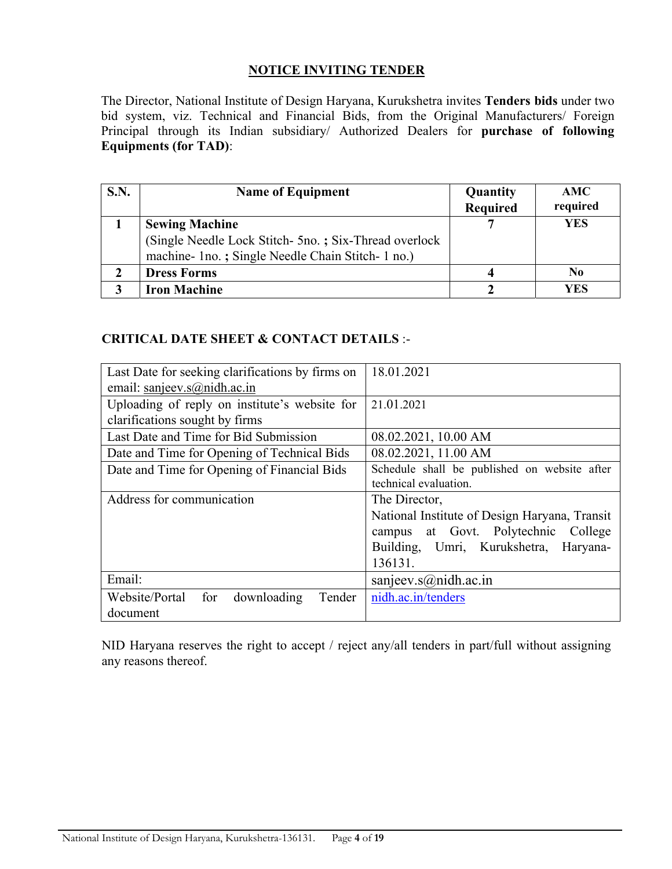#### **NOTICE INVITING TENDER**

The Director, National Institute of Design Haryana, Kurukshetra invites **Tenders bids** under two bid system, viz. Technical and Financial Bids, from the Original Manufacturers/ Foreign Principal through its Indian subsidiary/ Authorized Dealers for **purchase of following Equipments (for TAD)**:

| S.N. | <b>Name of Equipment</b>                                                                                                            | Quantity<br><b>Required</b> | AMC<br>required |
|------|-------------------------------------------------------------------------------------------------------------------------------------|-----------------------------|-----------------|
|      | <b>Sewing Machine</b><br>(Single Needle Lock Stitch- 5no.; Six-Thread overlock<br>machine- 1no.; Single Needle Chain Stitch- 1 no.) |                             | <b>YES</b>      |
|      | <b>Dress Forms</b>                                                                                                                  |                             | N <sub>0</sub>  |
|      | <b>Iron Machine</b>                                                                                                                 |                             | YES             |

#### **CRITICAL DATE SHEET & CONTACT DETAILS** :-

| Last Date for seeking clarifications by firms on | 18.01.2021                                    |  |  |
|--------------------------------------------------|-----------------------------------------------|--|--|
| email: sanjeev.s@nidh.ac.in                      |                                               |  |  |
| Uploading of reply on institute's website for    | 21.01.2021                                    |  |  |
| clarifications sought by firms                   |                                               |  |  |
| Last Date and Time for Bid Submission            | 08.02.2021, 10.00 AM                          |  |  |
| Date and Time for Opening of Technical Bids      | 08.02.2021, 11.00 AM                          |  |  |
| Date and Time for Opening of Financial Bids      | Schedule shall be published on website after  |  |  |
|                                                  | technical evaluation.                         |  |  |
| Address for communication                        | The Director,                                 |  |  |
|                                                  |                                               |  |  |
|                                                  | National Institute of Design Haryana, Transit |  |  |
|                                                  | campus at Govt. Polytechnic College           |  |  |
|                                                  | Building, Umri, Kurukshetra, Haryana-         |  |  |
|                                                  | 136131.                                       |  |  |
| Email:                                           | sanjeev.s@nidh.ac.in                          |  |  |
| Website/Portal<br>downloading<br>for<br>Tender   | nidh.ac.in/tenders                            |  |  |

NID Haryana reserves the right to accept / reject any/all tenders in part/full without assigning any reasons thereof.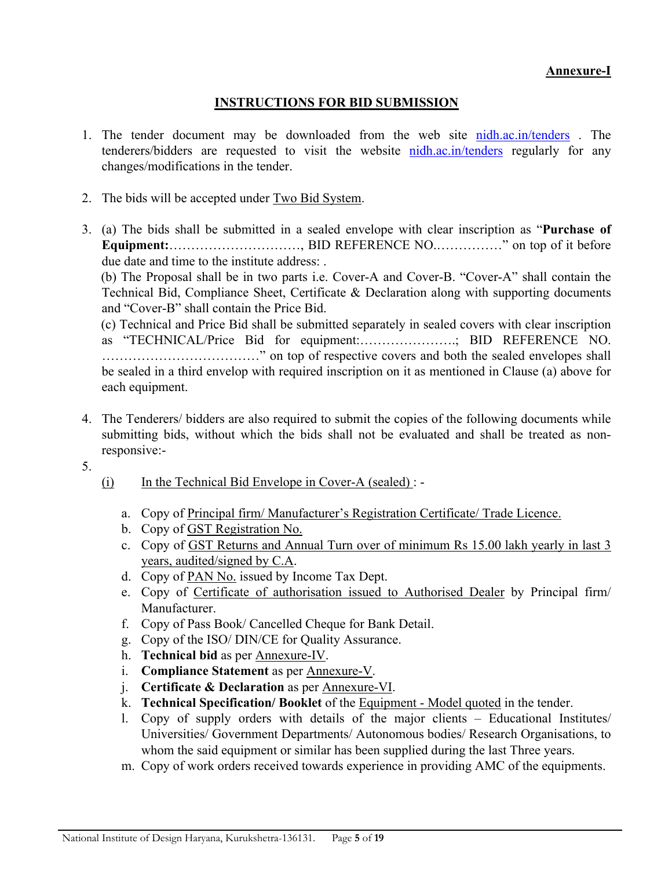#### **Annexure-I**

## **INSTRUCTIONS FOR BID SUBMISSION**

- 1. The tender document may be downloaded from the web site nidh.ac.in/tenders . The tenderers/bidders are requested to visit the website nidh.ac.in/tenders regularly for any changes/modifications in the tender.
- 2. The bids will be accepted under Two Bid System.
- 3. (a) The bids shall be submitted in a sealed envelope with clear inscription as "**Purchase of Equipment:**…………………………, BID REFERENCE NO.……………" on top of it before due date and time to the institute address: .

(b) The Proposal shall be in two parts i.e. Cover-A and Cover-B. "Cover-A" shall contain the Technical Bid, Compliance Sheet, Certificate & Declaration along with supporting documents and "Cover-B" shall contain the Price Bid.

(c) Technical and Price Bid shall be submitted separately in sealed covers with clear inscription as "TECHNICAL/Price Bid for equipment:………………….; BID REFERENCE NO. ………………………………" on top of respective covers and both the sealed envelopes shall be sealed in a third envelop with required inscription on it as mentioned in Clause (a) above for each equipment.

- 4. The Tenderers/ bidders are also required to submit the copies of the following documents while submitting bids, without which the bids shall not be evaluated and shall be treated as nonresponsive:-
- 5.
- $(i)$  In the Technical Bid Envelope in Cover-A (sealed) :
	- a. Copy of Principal firm/ Manufacturer's Registration Certificate/ Trade Licence.
	- b. Copy of GST Registration No.
	- c. Copy of GST Returns and Annual Turn over of minimum Rs 15.00 lakh yearly in last 3 years, audited/signed by C.A.
	- d. Copy of PAN No. issued by Income Tax Dept.
	- e. Copy of Certificate of authorisation issued to Authorised Dealer by Principal firm/ Manufacturer.
	- f. Copy of Pass Book/ Cancelled Cheque for Bank Detail.
	- g. Copy of the ISO/ DIN/CE for Quality Assurance.
	- h. **Technical bid** as per Annexure-IV.
	- i. **Compliance Statement** as per Annexure-V.
	- j. **Certificate & Declaration** as per Annexure-VI.
	- k. **Technical Specification/ Booklet** of the Equipment Model quoted in the tender.
	- l. Copy of supply orders with details of the major clients Educational Institutes/ Universities/ Government Departments/ Autonomous bodies/ Research Organisations, to whom the said equipment or similar has been supplied during the last Three years.
	- m. Copy of work orders received towards experience in providing AMC of the equipments.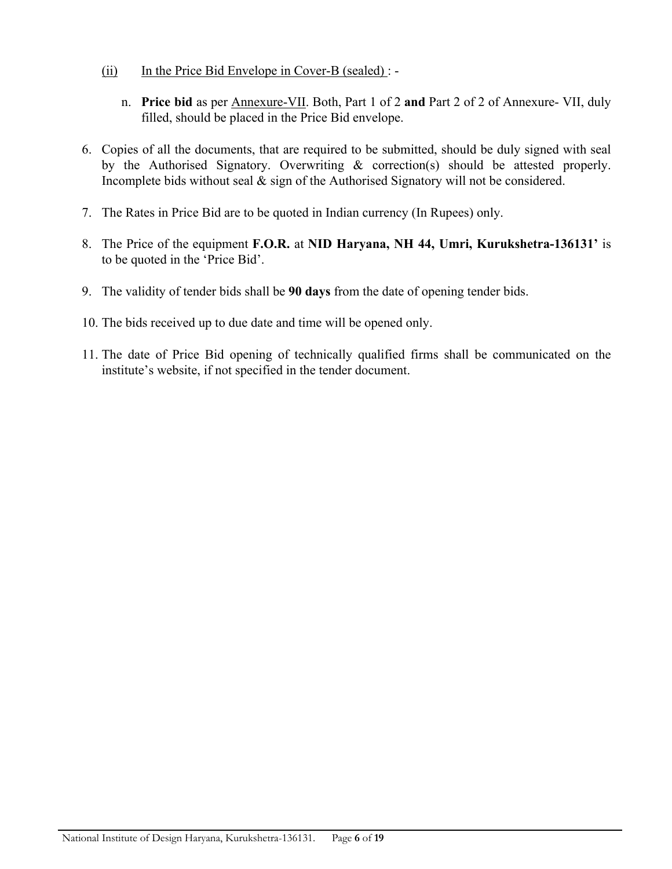- $(ii)$  In the Price Bid Envelope in Cover-B (sealed) :
	- n. **Price bid** as per Annexure-VII. Both, Part 1 of 2 **and** Part 2 of 2 of Annexure- VII, duly filled, should be placed in the Price Bid envelope.
- 6. Copies of all the documents, that are required to be submitted, should be duly signed with seal by the Authorised Signatory. Overwriting & correction(s) should be attested properly. Incomplete bids without seal & sign of the Authorised Signatory will not be considered.
- 7. The Rates in Price Bid are to be quoted in Indian currency (In Rupees) only.
- 8. The Price of the equipment **F.O.R.** at **NID Haryana, NH 44, Umri, Kurukshetra-136131'** is to be quoted in the 'Price Bid'.
- 9. The validity of tender bids shall be **90 days** from the date of opening tender bids.
- 10. The bids received up to due date and time will be opened only.
- 11. The date of Price Bid opening of technically qualified firms shall be communicated on the institute's website, if not specified in the tender document.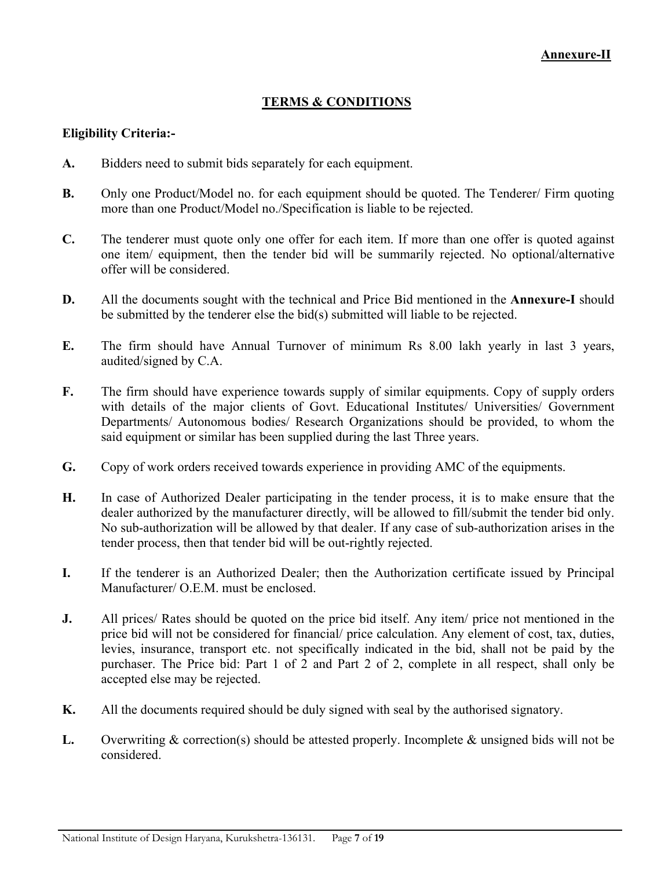#### **TERMS & CONDITIONS**

#### **Eligibility Criteria:-**

- **A.** Bidders need to submit bids separately for each equipment.
- **B.** Only one Product/Model no. for each equipment should be quoted. The Tenderer/ Firm quoting more than one Product/Model no./Specification is liable to be rejected.
- **C.** The tenderer must quote only one offer for each item. If more than one offer is quoted against one item/ equipment, then the tender bid will be summarily rejected. No optional/alternative offer will be considered.
- **D.** All the documents sought with the technical and Price Bid mentioned in the **Annexure-I** should be submitted by the tenderer else the bid(s) submitted will liable to be rejected.
- **E.** The firm should have Annual Turnover of minimum Rs 8.00 lakh yearly in last 3 years, audited/signed by C.A.
- **F.** The firm should have experience towards supply of similar equipments. Copy of supply orders with details of the major clients of Govt. Educational Institutes/ Universities/ Government Departments/ Autonomous bodies/ Research Organizations should be provided, to whom the said equipment or similar has been supplied during the last Three years.
- **G.** Copy of work orders received towards experience in providing AMC of the equipments.
- **H.** In case of Authorized Dealer participating in the tender process, it is to make ensure that the dealer authorized by the manufacturer directly, will be allowed to fill/submit the tender bid only. No sub-authorization will be allowed by that dealer. If any case of sub-authorization arises in the tender process, then that tender bid will be out-rightly rejected.
- **I.** If the tenderer is an Authorized Dealer; then the Authorization certificate issued by Principal Manufacturer/ O.E.M. must be enclosed.
- **J.** All prices/ Rates should be quoted on the price bid itself. Any item/ price not mentioned in the price bid will not be considered for financial/ price calculation. Any element of cost, tax, duties, levies, insurance, transport etc. not specifically indicated in the bid, shall not be paid by the purchaser. The Price bid: Part 1 of 2 and Part 2 of 2, complete in all respect, shall only be accepted else may be rejected.
- **K.** All the documents required should be duly signed with seal by the authorised signatory.
- **L.** Overwriting & correction(s) should be attested properly. Incomplete & unsigned bids will not be considered.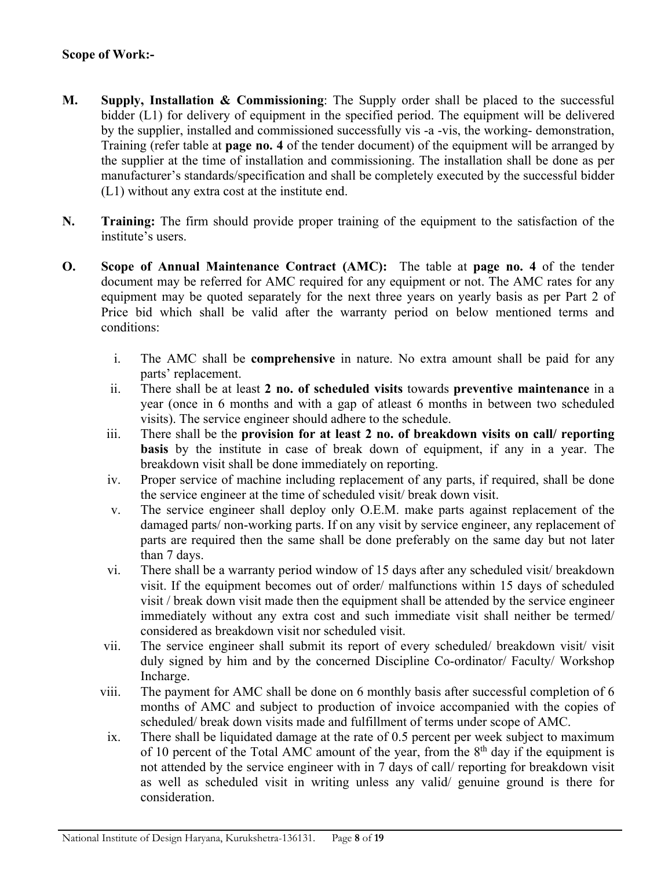#### **Scope of Work:-**

- **M. Supply, Installation & Commissioning**: The Supply order shall be placed to the successful bidder (L1) for delivery of equipment in the specified period. The equipment will be delivered by the supplier, installed and commissioned successfully vis -a -vis, the working- demonstration, Training (refer table at **page no. 4** of the tender document) of the equipment will be arranged by the supplier at the time of installation and commissioning. The installation shall be done as per manufacturer's standards/specification and shall be completely executed by the successful bidder (L1) without any extra cost at the institute end.
- **N. Training:** The firm should provide proper training of the equipment to the satisfaction of the institute's users.
- **O. Scope of Annual Maintenance Contract (AMC):** The table at **page no. 4** of the tender document may be referred for AMC required for any equipment or not. The AMC rates for any equipment may be quoted separately for the next three years on yearly basis as per Part 2 of Price bid which shall be valid after the warranty period on below mentioned terms and conditions:
	- i. The AMC shall be **comprehensive** in nature. No extra amount shall be paid for any parts' replacement.
	- ii. There shall be at least **2 no. of scheduled visits** towards **preventive maintenance** in a year (once in 6 months and with a gap of atleast 6 months in between two scheduled visits). The service engineer should adhere to the schedule.
	- iii. There shall be the **provision for at least 2 no. of breakdown visits on call/ reporting basis** by the institute in case of break down of equipment, if any in a year. The breakdown visit shall be done immediately on reporting.
	- iv. Proper service of machine including replacement of any parts, if required, shall be done the service engineer at the time of scheduled visit/ break down visit.
	- v. The service engineer shall deploy only O.E.M. make parts against replacement of the damaged parts/ non-working parts. If on any visit by service engineer, any replacement of parts are required then the same shall be done preferably on the same day but not later than 7 days.
	- vi. There shall be a warranty period window of 15 days after any scheduled visit/ breakdown visit. If the equipment becomes out of order/ malfunctions within 15 days of scheduled visit / break down visit made then the equipment shall be attended by the service engineer immediately without any extra cost and such immediate visit shall neither be termed/ considered as breakdown visit nor scheduled visit.
	- vii. The service engineer shall submit its report of every scheduled/ breakdown visit/ visit duly signed by him and by the concerned Discipline Co-ordinator/ Faculty/ Workshop Incharge.
	- viii. The payment for AMC shall be done on 6 monthly basis after successful completion of 6 months of AMC and subject to production of invoice accompanied with the copies of scheduled/ break down visits made and fulfillment of terms under scope of AMC.
	- ix. There shall be liquidated damage at the rate of 0.5 percent per week subject to maximum of 10 percent of the Total AMC amount of the year, from the  $8<sup>th</sup>$  day if the equipment is not attended by the service engineer with in 7 days of call/ reporting for breakdown visit as well as scheduled visit in writing unless any valid/ genuine ground is there for consideration.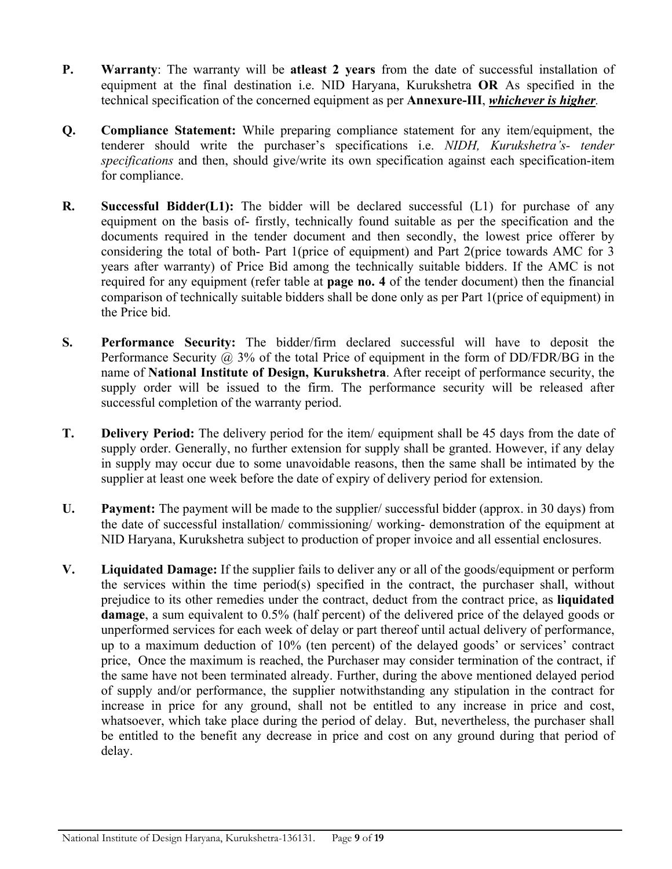- **P. Warranty**: The warranty will be **atleast 2 years** from the date of successful installation of equipment at the final destination i.e. NID Haryana, Kurukshetra **OR** As specified in the technical specification of the concerned equipment as per **Annexure-III**, *whichever is higher.*
- **Q. Compliance Statement:** While preparing compliance statement for any item/equipment, the tenderer should write the purchaser's specifications i.e. *NIDH, Kurukshetra's- tender specifications* and then, should give/write its own specification against each specification-item for compliance.
- **R. Successful Bidder(L1):** The bidder will be declared successful (L1) for purchase of any equipment on the basis of- firstly, technically found suitable as per the specification and the documents required in the tender document and then secondly, the lowest price offerer by considering the total of both- Part 1(price of equipment) and Part 2(price towards AMC for 3 years after warranty) of Price Bid among the technically suitable bidders. If the AMC is not required for any equipment (refer table at **page no. 4** of the tender document) then the financial comparison of technically suitable bidders shall be done only as per Part 1(price of equipment) in the Price bid.
- **S. Performance Security:** The bidder/firm declared successful will have to deposit the Performance Security  $\omega$  3% of the total Price of equipment in the form of DD/FDR/BG in the name of **National Institute of Design, Kurukshetra**. After receipt of performance security, the supply order will be issued to the firm. The performance security will be released after successful completion of the warranty period.
- **T. Delivery Period:** The delivery period for the item/ equipment shall be 45 days from the date of supply order. Generally, no further extension for supply shall be granted. However, if any delay in supply may occur due to some unavoidable reasons, then the same shall be intimated by the supplier at least one week before the date of expiry of delivery period for extension.
- **U. Payment:** The payment will be made to the supplier/ successful bidder (approx. in 30 days) from the date of successful installation/ commissioning/ working- demonstration of the equipment at NID Haryana, Kurukshetra subject to production of proper invoice and all essential enclosures.
- **V. Liquidated Damage:** If the supplier fails to deliver any or all of the goods/equipment or perform the services within the time period(s) specified in the contract, the purchaser shall, without prejudice to its other remedies under the contract, deduct from the contract price, as **liquidated damage**, a sum equivalent to 0.5% (half percent) of the delivered price of the delayed goods or unperformed services for each week of delay or part thereof until actual delivery of performance, up to a maximum deduction of 10% (ten percent) of the delayed goods' or services' contract price, Once the maximum is reached, the Purchaser may consider termination of the contract, if the same have not been terminated already. Further, during the above mentioned delayed period of supply and/or performance, the supplier notwithstanding any stipulation in the contract for increase in price for any ground, shall not be entitled to any increase in price and cost, whatsoever, which take place during the period of delay. But, nevertheless, the purchaser shall be entitled to the benefit any decrease in price and cost on any ground during that period of delay.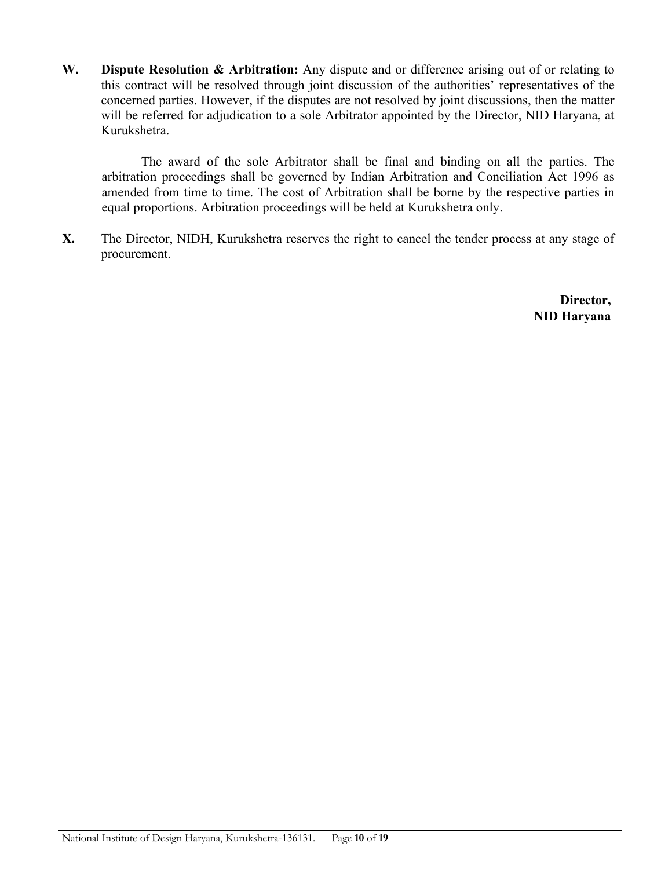**W. Dispute Resolution & Arbitration:** Any dispute and or difference arising out of or relating to this contract will be resolved through joint discussion of the authorities' representatives of the concerned parties. However, if the disputes are not resolved by joint discussions, then the matter will be referred for adjudication to a sole Arbitrator appointed by the Director, NID Haryana, at Kurukshetra.

The award of the sole Arbitrator shall be final and binding on all the parties. The arbitration proceedings shall be governed by Indian Arbitration and Conciliation Act 1996 as amended from time to time. The cost of Arbitration shall be borne by the respective parties in equal proportions. Arbitration proceedings will be held at Kurukshetra only.

**X.** The Director, NIDH, Kurukshetra reserves the right to cancel the tender process at any stage of procurement.

> **Director, NID Haryana**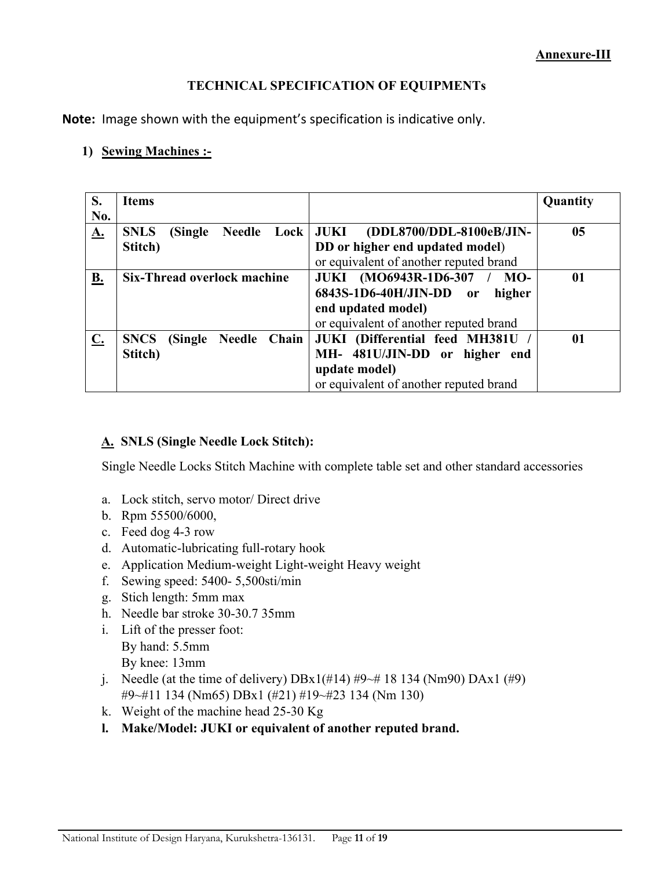#### **TECHNICAL SPECIFICATION OF EQUIPMENTs**

**Note:** Image shown with the equipment's specification is indicative only.

#### **1) Sewing Machines :-**

| S.             | <b>Items</b>                        |                                             | Quantity     |
|----------------|-------------------------------------|---------------------------------------------|--------------|
| No.            |                                     |                                             |              |
| <u>A.</u>      | <b>SNLS</b><br>(Single              | Needle Lock   JUKI (DDL8700/DDL-8100eB/JIN- | 05           |
|                | Stitch)                             | DD or higher end updated model)             |              |
|                |                                     | or equivalent of another reputed brand      |              |
| <u>B.</u>      | Six-Thread overlock machine         | JUKI (MO6943R-1D6-307 / MO-                 | $\mathbf{0}$ |
|                |                                     | 6843S-1D6-40H/JIN-DD or<br>higher           |              |
|                |                                     | end updated model)                          |              |
|                |                                     | or equivalent of another reputed brand      |              |
| $\mathbf{C}$ . | (Single Needle Chain<br><b>SNCS</b> | JUKI (Differential feed MH381U              | 01           |
|                | Stitch)                             | MH- 481U/JIN-DD or higher end               |              |
|                |                                     | update model)                               |              |
|                |                                     | or equivalent of another reputed brand      |              |

#### **A. SNLS (Single Needle Lock Stitch):**

Single Needle Locks Stitch Machine with complete table set and other standard accessories

- a. Lock stitch, servo motor/ Direct drive
- b. Rpm 55500/6000,
- c. Feed dog 4-3 row
- d. Automatic-lubricating full-rotary hook
- e. Application Medium-weight Light-weight Heavy weight
- f. Sewing speed: 5400- 5,500sti/min
- g. Stich length: 5mm max
- h. Needle bar stroke 30-30.7 35mm
- i. Lift of the presser foot: By hand: 5.5mm By knee: 13mm
- j. Needle (at the time of delivery)  $DBx1(\text{\#}14) \text{\#}9\text{-}418134$  (Nm90)  $DAx1(\text{\#}9)$ #9~#11 134 (Nm65) DBx1 (#21) #19~#23 134 (Nm 130)
- k. Weight of the machine head 25-30 Kg
- **l. Make/Model: JUKI or equivalent of another reputed brand.**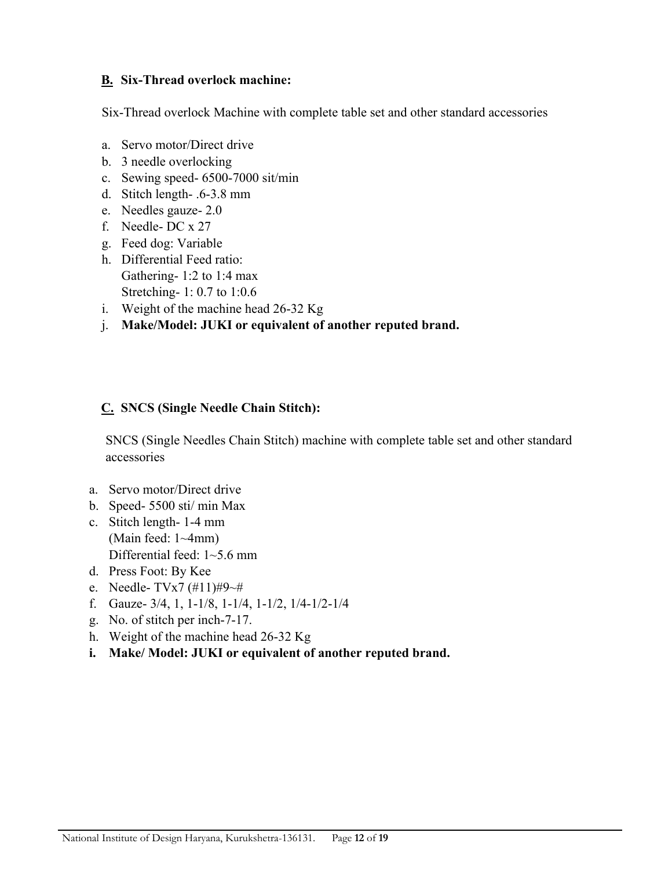#### **B. Six-Thread overlock machine:**

Six-Thread overlock Machine with complete table set and other standard accessories

- a. Servo motor/Direct drive
- b. 3 needle overlocking
- c. Sewing speed- 6500-7000 sit/min
- d. Stitch length- .6-3.8 mm
- e. Needles gauze- 2.0
- f. Needle- DC x 27
- g. Feed dog: Variable
- h. Differential Feed ratio: Gathering- 1:2 to 1:4 max Stretching- 1: 0.7 to 1:0.6
- i. Weight of the machine head 26-32 Kg
- j. **Make/Model: JUKI or equivalent of another reputed brand.**

#### **C. SNCS (Single Needle Chain Stitch):**

 SNCS (Single Needles Chain Stitch) machine with complete table set and other standard accessories

- a. Servo motor/Direct drive
- b. Speed- 5500 sti/ min Max
- c. Stitch length- 1-4 mm (Main feed: 1~4mm) Differential feed: 1~5.6 mm
- d. Press Foot: By Kee
- e. Needle- TVx7 (#11)#9~#
- f. Gauze- 3/4, 1, 1-1/8, 1-1/4, 1-1/2, 1/4-1/2-1/4
- g. No. of stitch per inch-7-17.
- h. Weight of the machine head 26-32 Kg
- **i. Make/ Model: JUKI or equivalent of another reputed brand.**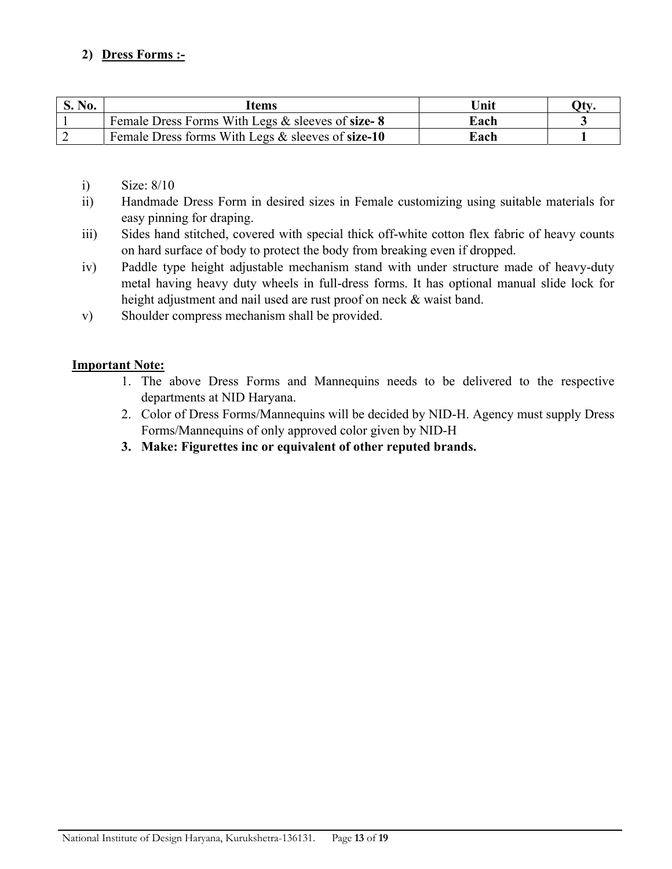# **2) Dress Forms :-**

| S. No. | ltems                                             | Unit | `Hv |
|--------|---------------------------------------------------|------|-----|
|        | Female Dress Forms With Legs & sleeves of size-8  | Each |     |
|        | Female Dress forms With Legs & sleeves of size-10 | Each |     |

i) Size: 8/10

- ii) Handmade Dress Form in desired sizes in Female customizing using suitable materials for easy pinning for draping.
- iii) Sides hand stitched, covered with special thick off-white cotton flex fabric of heavy counts on hard surface of body to protect the body from breaking even if dropped.
- iv) Paddle type height adjustable mechanism stand with under structure made of heavy-duty metal having heavy duty wheels in full-dress forms. It has optional manual slide lock for height adjustment and nail used are rust proof on neck & waist band.
- v) Shoulder compress mechanism shall be provided.

#### **Important Note:**

- 1. The above Dress Forms and Mannequins needs to be delivered to the respective departments at NID Haryana.
- 2. Color of Dress Forms/Mannequins will be decided by NID-H. Agency must supply Dress Forms/Mannequins of only approved color given by NID-H
- **3. Make: Figurettes inc or equivalent of other reputed brands.**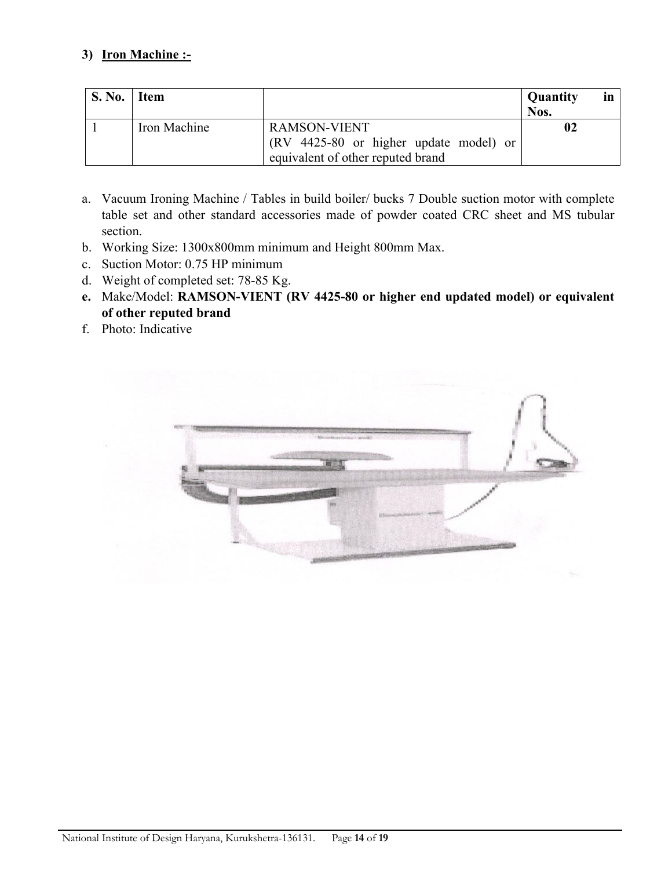#### **3) Iron Machine :-**

| S. No. | $\blacksquare$ Item |                                        | <b>Quantity</b><br><i>in</i><br>Nos. |
|--------|---------------------|----------------------------------------|--------------------------------------|
|        | Iron Machine        | RAMSON-VIENT                           | 02                                   |
|        |                     | (RV 4425-80 or higher update model) or |                                      |
|        |                     | equivalent of other reputed brand      |                                      |

- a. Vacuum Ironing Machine / Tables in build boiler/ bucks 7 Double suction motor with complete table set and other standard accessories made of powder coated CRC sheet and MS tubular section.
- b. Working Size: 1300x800mm minimum and Height 800mm Max.
- c. Suction Motor: 0.75 HP minimum
- d. Weight of completed set: 78-85 Kg.
- **e.** Make/Model: **RAMSON-VIENT (RV 4425-80 or higher end updated model) or equivalent of other reputed brand**
- f. Photo: Indicative

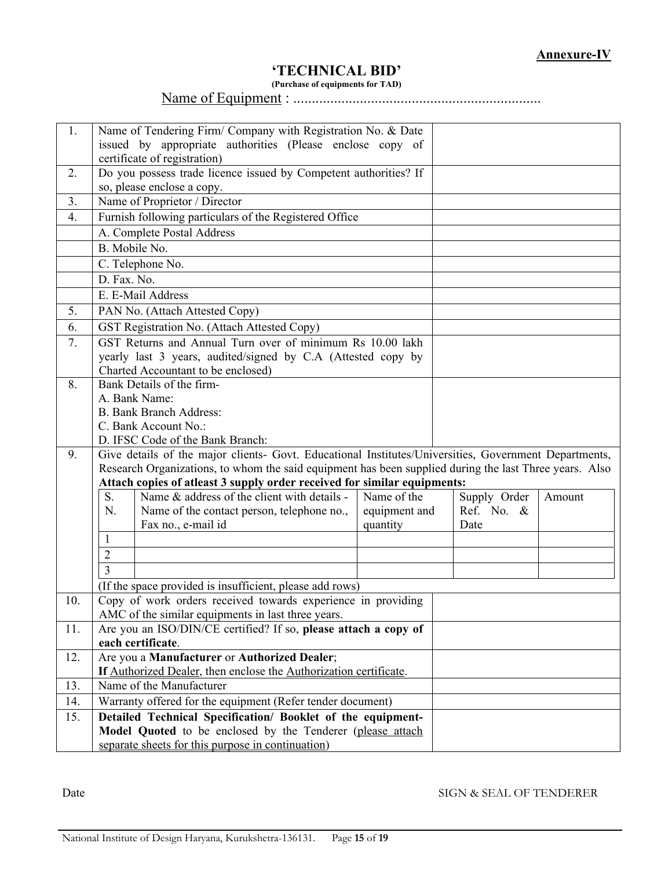## **'TECHNICAL BID'**

**(Purchase of equipments for TAD)** 

Name of Equipment : ...................................................................

| 1.               | Name of Tendering Firm/ Company with Registration No. & Date<br>issued by appropriate authorities (Please enclose copy of<br>certificate of registration) |               |              |        |  |  |  |
|------------------|-----------------------------------------------------------------------------------------------------------------------------------------------------------|---------------|--------------|--------|--|--|--|
|                  |                                                                                                                                                           |               |              |        |  |  |  |
| 2.               | Do you possess trade licence issued by Competent authorities? If<br>so, please enclose a copy.                                                            |               |              |        |  |  |  |
| 3.               | Name of Proprietor / Director                                                                                                                             |               |              |        |  |  |  |
| $\overline{4}$ . | Furnish following particulars of the Registered Office                                                                                                    |               |              |        |  |  |  |
|                  | A. Complete Postal Address                                                                                                                                |               |              |        |  |  |  |
|                  | B. Mobile No.                                                                                                                                             |               |              |        |  |  |  |
|                  | C. Telephone No.                                                                                                                                          |               |              |        |  |  |  |
|                  | D. Fax. No.                                                                                                                                               |               |              |        |  |  |  |
|                  | E. E-Mail Address                                                                                                                                         |               |              |        |  |  |  |
| 5.               | PAN No. (Attach Attested Copy)                                                                                                                            |               |              |        |  |  |  |
| 6.               | <b>GST Registration No. (Attach Attested Copy)</b>                                                                                                        |               |              |        |  |  |  |
| 7.               | GST Returns and Annual Turn over of minimum Rs 10.00 lakh                                                                                                 |               |              |        |  |  |  |
|                  | yearly last 3 years, audited/signed by C.A (Attested copy by                                                                                              |               |              |        |  |  |  |
|                  | Charted Accountant to be enclosed)                                                                                                                        |               |              |        |  |  |  |
| 8.               | Bank Details of the firm-                                                                                                                                 |               |              |        |  |  |  |
|                  | A. Bank Name:                                                                                                                                             |               |              |        |  |  |  |
|                  | <b>B. Bank Branch Address:</b>                                                                                                                            |               |              |        |  |  |  |
|                  | C. Bank Account No.:<br>D. IFSC Code of the Bank Branch:                                                                                                  |               |              |        |  |  |  |
| 9.               | Give details of the major clients- Govt. Educational Institutes/Universities, Government Departments,                                                     |               |              |        |  |  |  |
|                  | Research Organizations, to whom the said equipment has been supplied during the last Three years. Also                                                    |               |              |        |  |  |  |
|                  | Attach copies of atleast 3 supply order received for similar equipments:                                                                                  |               |              |        |  |  |  |
|                  | S.<br>Name & address of the client with details -                                                                                                         | Name of the   | Supply Order | Amount |  |  |  |
|                  | N.<br>Name of the contact person, telephone no.,                                                                                                          | equipment and | Ref. No. &   |        |  |  |  |
|                  | Fax no., e-mail id                                                                                                                                        | quantity      | Date         |        |  |  |  |
|                  | $\mathbf{1}$                                                                                                                                              |               |              |        |  |  |  |
|                  | $\overline{2}$                                                                                                                                            |               |              |        |  |  |  |
|                  | 3                                                                                                                                                         |               |              |        |  |  |  |
|                  | (If the space provided is insufficient, please add rows)                                                                                                  |               |              |        |  |  |  |
| 10.              | Copy of work orders received towards experience in providing                                                                                              |               |              |        |  |  |  |
|                  | AMC of the similar equipments in last three years.                                                                                                        |               |              |        |  |  |  |
| 11.              | Are you an ISO/DIN/CE certified? If so, please attach a copy of                                                                                           |               |              |        |  |  |  |
|                  | each certificate.                                                                                                                                         |               |              |        |  |  |  |
| 12.              | Are you a Manufacturer or Authorized Dealer;                                                                                                              |               |              |        |  |  |  |
| 13.              | If Authorized Dealer, then enclose the Authorization certificate.<br>Name of the Manufacturer                                                             |               |              |        |  |  |  |
| 14.              | Warranty offered for the equipment (Refer tender document)                                                                                                |               |              |        |  |  |  |
| 15.              | Detailed Technical Specification/ Booklet of the equipment-                                                                                               |               |              |        |  |  |  |
|                  | Model Quoted to be enclosed by the Tenderer (please attach                                                                                                |               |              |        |  |  |  |
|                  | separate sheets for this purpose in continuation)                                                                                                         |               |              |        |  |  |  |

Date SIGN & SEAL OF TENDERER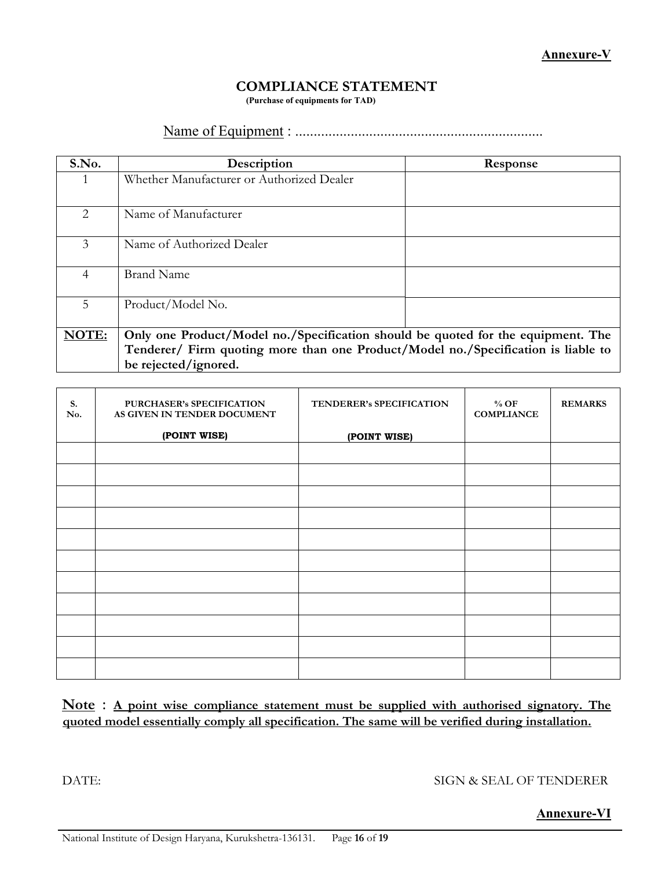# **COMPLIANCE STATEMENT**

**(Purchase of equipments for TAD)** 

## Name of Equipment : ...................................................................

| S.No. | Description                                                                       | Response |  |  |  |
|-------|-----------------------------------------------------------------------------------|----------|--|--|--|
|       | Whether Manufacturer or Authorized Dealer                                         |          |  |  |  |
| 2     | Name of Manufacturer                                                              |          |  |  |  |
| 3     | Name of Authorized Dealer                                                         |          |  |  |  |
| 4     | <b>Brand Name</b>                                                                 |          |  |  |  |
| 5.    | Product/Model No.                                                                 |          |  |  |  |
| NOTE: | Only one Product/Model no./Specification should be quoted for the equipment. The  |          |  |  |  |
|       | Tenderer/ Firm quoting more than one Product/Model no./Specification is liable to |          |  |  |  |
|       | be rejected/ignored.                                                              |          |  |  |  |

| S.<br>No. | PURCHASER's SPECIFICATION<br>AS GIVEN IN TENDER DOCUMENT | TENDERER's SPECIFICATION | $%$ OF<br><b>COMPLIANCE</b> | <b>REMARKS</b> |
|-----------|----------------------------------------------------------|--------------------------|-----------------------------|----------------|
|           | (POINT WISE)                                             | (POINT WISE)             |                             |                |
|           |                                                          |                          |                             |                |
|           |                                                          |                          |                             |                |
|           |                                                          |                          |                             |                |
|           |                                                          |                          |                             |                |
|           |                                                          |                          |                             |                |
|           |                                                          |                          |                             |                |
|           |                                                          |                          |                             |                |
|           |                                                          |                          |                             |                |
|           |                                                          |                          |                             |                |
|           |                                                          |                          |                             |                |
|           |                                                          |                          |                             |                |

#### **Note** : **A point wise compliance statement must be supplied with authorised signatory. The quoted model essentially comply all specification. The same will be verified during installation.**

DATE: SIGN & SEAL OF TENDERER

#### **Annexure-VI**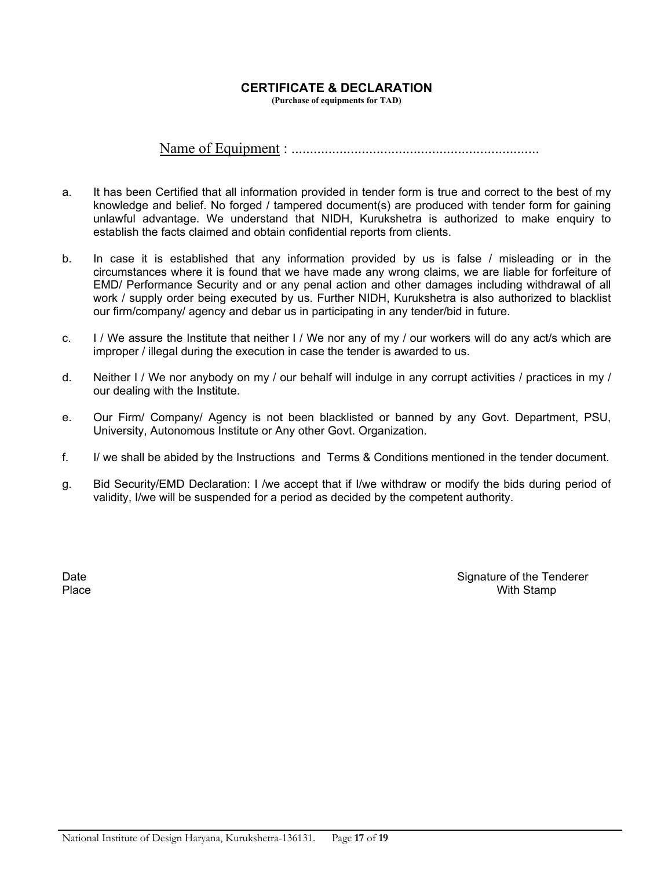#### **CERTIFICATE & DECLARATION**

**(Purchase of equipments for TAD)** 

#### Name of Equipment : ...................................................................

- a. It has been Certified that all information provided in tender form is true and correct to the best of my knowledge and belief. No forged / tampered document(s) are produced with tender form for gaining unlawful advantage. We understand that NIDH, Kurukshetra is authorized to make enquiry to establish the facts claimed and obtain confidential reports from clients.
- b. In case it is established that any information provided by us is false / misleading or in the circumstances where it is found that we have made any wrong claims, we are liable for forfeiture of EMD/ Performance Security and or any penal action and other damages including withdrawal of all work / supply order being executed by us. Further NIDH, Kurukshetra is also authorized to blacklist our firm/company/ agency and debar us in participating in any tender/bid in future.
- c. I / We assure the Institute that neither I / We nor any of my / our workers will do any act/s which are improper / illegal during the execution in case the tender is awarded to us.
- d. Neither I / We nor anybody on my / our behalf will indulge in any corrupt activities / practices in my / our dealing with the Institute.
- e. Our Firm/ Company/ Agency is not been blacklisted or banned by any Govt. Department, PSU, University, Autonomous Institute or Any other Govt. Organization.
- f. I/ we shall be abided by the Instructions and Terms & Conditions mentioned in the tender document.
- g. Bid Security/EMD Declaration: I /we accept that if I/we withdraw or modify the bids during period of validity, I/we will be suspended for a period as decided by the competent authority.

Date Signature of the Tenderer Section 2.1 and 2.1 and 2.1 and 2.1 and 2.1 and 2.1 and 2.1 and 2.1 and 2.1 and 2.1 and 2.1 and 2.1 and 2.1 and 2.1 and 2.1 and 2.1 and 2.1 and 2.1 and 2.1 and 2.1 and 2.1 and 2.1 and 2.1 and Place **No. 2. In the U.S. Contract of the U.S. Contract of the U.S. Contract of the U.S. Contract of the U.S. Contract of the U.S. Contract of the U.S. Contract of the U.S. Contract of the U.S. Contract of the U.S. Contrac**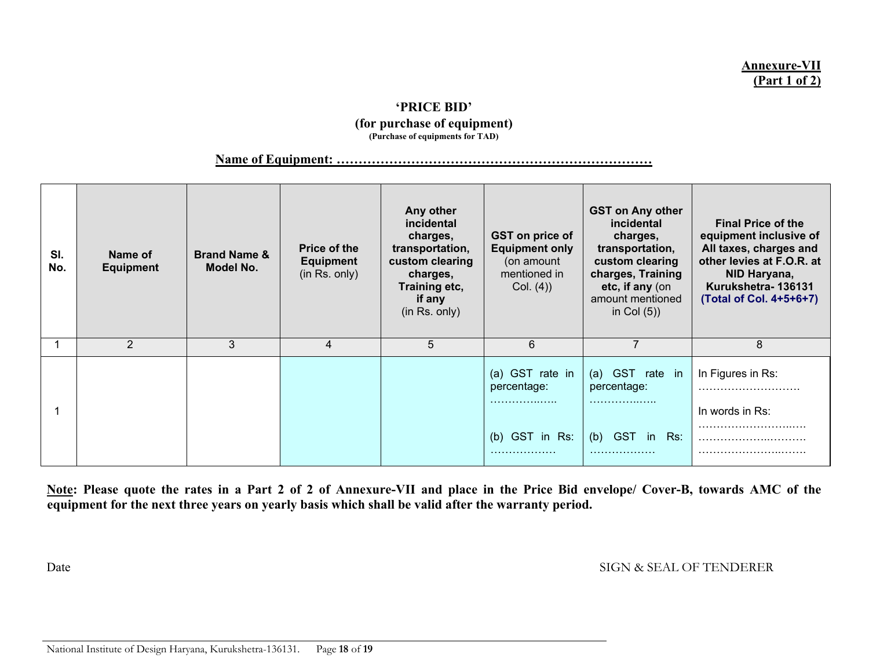#### **Annexure-VII (Part 1 of 2)**

#### **'PRICE BID' (for purchase of equipment) (Purchase of equipments for TAD)**

**Name of Equipment: ………………………………………………………………** 

| SI.<br>No. | Name of<br><b>Equipment</b> | <b>Brand Name &amp;</b><br>Model No. | <b>Price of the</b><br><b>Equipment</b><br>(in Rs. only) | Any other<br>incidental<br>charges,<br>transportation,<br>custom clearing<br>charges,<br>Training etc,<br>if any<br>(in Rs. only) | GST on price of<br><b>Equipment only</b><br>(on amount<br>mentioned in<br>Col. (4) | <b>GST on Any other</b><br>incidental<br>charges,<br>transportation,<br>custom clearing<br>charges, Training<br>etc, if any (on<br>amount mentioned<br>in Col $(5)$ ) | <b>Final Price of the</b><br>equipment inclusive of<br>All taxes, charges and<br>other levies at F.O.R. at<br>NID Haryana,<br>Kurukshetra-136131<br>(Total of Col. 4+5+6+7) |
|------------|-----------------------------|--------------------------------------|----------------------------------------------------------|-----------------------------------------------------------------------------------------------------------------------------------|------------------------------------------------------------------------------------|-----------------------------------------------------------------------------------------------------------------------------------------------------------------------|-----------------------------------------------------------------------------------------------------------------------------------------------------------------------------|
|            | 2                           | 3                                    | 4                                                        | 5                                                                                                                                 | 6                                                                                  | 7                                                                                                                                                                     | 8                                                                                                                                                                           |
|            |                             |                                      |                                                          |                                                                                                                                   | (a) GST rate in<br>percentage:<br>.<br>(b) GST in Rs:                              | (a) GST rate in<br>percentage:<br>.<br><b>GST</b><br>in Rs:<br>(b)<br>.                                                                                               | In Figures in Rs:<br>In words in Rs:                                                                                                                                        |

**Note: Please quote the rates in a Part 2 of 2 of Annexure-VII and place in the Price Bid envelope/ Cover-B, towards AMC of the equipment for the next three years on yearly basis which shall be valid after the warranty period.** 

Date SIGN & SEAL OF TENDERER